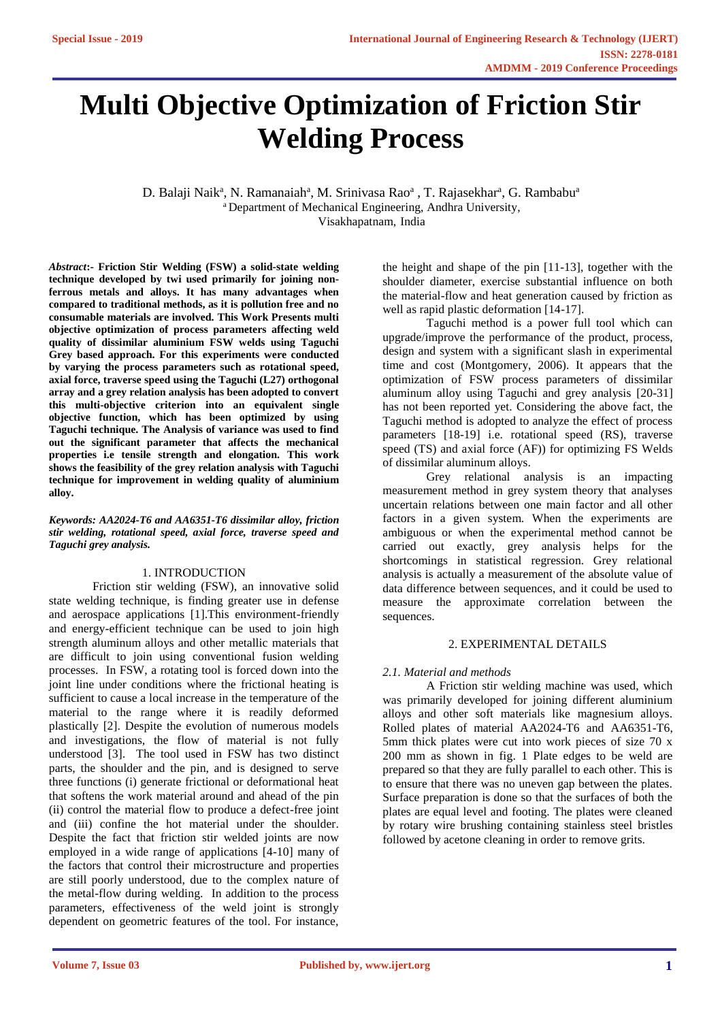# **Multi Objective Optimization of Friction Stir Welding Process**

D. Balaji Naik<sup>a</sup>, N. Ramanaiah<sup>a</sup>, M. Srinivasa Rao<sup>a</sup>, T. Rajasekhar<sup>a</sup>, G. Rambabu<sup>a</sup> <sup>a</sup> Department of Mechanical Engineering, Andhra University, Visakhapatnam, India

*Abstract***:- Friction Stir Welding (FSW) a solid-state welding technique developed by twi used primarily for joining nonferrous metals and alloys. It has many advantages when compared to traditional methods, as it is pollution free and no consumable materials are involved. This Work Presents multi objective optimization of process parameters affecting weld quality of dissimilar aluminium FSW welds using Taguchi Grey based approach. For this experiments were conducted by varying the process parameters such as rotational speed, axial force, traverse speed using the Taguchi (L27) orthogonal array and a grey relation analysis has been adopted to convert this multi-objective criterion into an equivalent single objective function, which has been optimized by using Taguchi technique. The Analysis of variance was used to find out the significant parameter that affects the mechanical properties i.e tensile strength and elongation. This work shows the feasibility of the grey relation analysis with Taguchi technique for improvement in welding quality of aluminium alloy.**

*Keywords: AA2024-T6 and AA6351-T6 dissimilar alloy, friction stir welding, rotational speed, axial force, traverse speed and Taguchi grey analysis.*

## 1. INTRODUCTION

Friction stir welding (FSW), an innovative solid state welding technique, is finding greater use in defense and aerospace applications [1].This environment-friendly and energy-efficient technique can be used to join high strength aluminum alloys and other metallic materials that are difficult to join using conventional fusion welding processes. In FSW, a rotating tool is forced down into the joint line under conditions where the frictional heating is sufficient to cause a local increase in the temperature of the material to the range where it is readily deformed plastically [2]. Despite the evolution of numerous models and investigations, the flow of material is not fully understood [3]. The tool used in FSW has two distinct parts, the shoulder and the pin, and is designed to serve three functions (i) generate frictional or deformational heat that softens the work material around and ahead of the pin (ii) control the material flow to produce a defect-free joint and (iii) confine the hot material under the shoulder. Despite the fact that friction stir welded joints are now employed in a wide range of applications [4-10] many of the factors that control their microstructure and properties are still poorly understood, due to the complex nature of the metal-flow during welding. In addition to the process parameters, effectiveness of the weld joint is strongly dependent on geometric features of the tool. For instance, the height and shape of the pin [11-13], together with the shoulder diameter, exercise substantial influence on both the material-flow and heat generation caused by friction as well as rapid plastic deformation [14-17].

Taguchi method is a power full tool which can upgrade/improve the performance of the product, process, design and system with a significant slash in experimental time and cost (Montgomery, 2006). It appears that the optimization of FSW process parameters of dissimilar aluminum alloy using Taguchi and grey analysis [20-31] has not been reported yet. Considering the above fact, the Taguchi method is adopted to analyze the effect of process parameters [18-19] i.e. rotational speed (RS), traverse speed (TS) and axial force (AF)) for optimizing FS Welds of dissimilar aluminum alloys.

Grey relational analysis is an impacting measurement method in grey system theory that analyses uncertain relations between one main factor and all other factors in a given system. When the experiments are ambiguous or when the experimental method cannot be carried out exactly, grey analysis helps for the shortcomings in statistical regression. Grey relational analysis is actually a measurement of the absolute value of data difference between sequences, and it could be used to measure the approximate correlation between the sequences.

### 2. EXPERIMENTAL DETAILS

#### *2.1. Material and methods*

A Friction stir welding machine was used, which was primarily developed for joining different aluminium alloys and other soft materials like magnesium alloys. Rolled plates of material AA2024-T6 and AA6351-T6, 5mm thick plates were cut into work pieces of size 70 x 200 mm as shown in fig. 1 Plate edges to be weld are prepared so that they are fully parallel to each other. This is to ensure that there was no uneven gap between the plates. Surface preparation is done so that the surfaces of both the plates are equal level and footing. The plates were cleaned by rotary wire brushing containing stainless steel bristles followed by acetone cleaning in order to remove grits.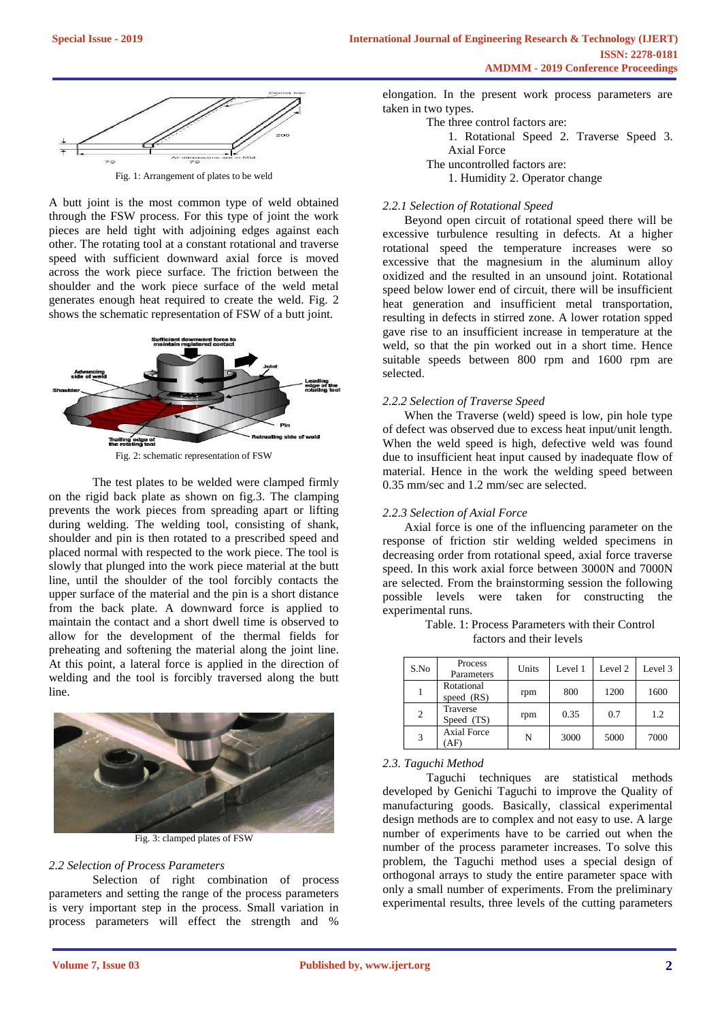

A butt joint is the most common type of weld obtained through the FSW process. For this type of joint the work pieces are held tight with adjoining edges against each other. The rotating tool at a constant rotational and traverse speed with sufficient downward axial force is moved across the work piece surface. The friction between the shoulder and the work piece surface of the weld metal generates enough heat required to create the weld. Fig. 2 shows the schematic representation of FSW of a butt joint.



Fig. 2: schematic representation of FSW

The test plates to be welded were clamped firmly on the rigid back plate as shown on fig.3. The clamping prevents the work pieces from spreading apart or lifting during welding. The welding tool, consisting of shank, shoulder and pin is then rotated to a prescribed speed and placed normal with respected to the work piece. The tool is slowly that plunged into the work piece material at the butt line, until the shoulder of the tool forcibly contacts the upper surface of the material and the pin is a short distance from the back plate. A downward force is applied to maintain the contact and a short dwell time is observed to allow for the development of the thermal fields for preheating and softening the material along the joint line. At this point, a lateral force is applied in the direction of welding and the tool is forcibly traversed along the butt line.



Fig. 3: clamped plates of FSW

#### *2.2 Selection of Process Parameters*

Selection of right combination of process parameters and setting the range of the process parameters is very important step in the process. Small variation in process parameters will effect the strength and %

elongation. In the present work process parameters are taken in two types.

The three control factors are:

1. Rotational Speed 2. Traverse Speed 3. Axial Force

The uncontrolled factors are:

1. Humidity 2. Operator change

#### *2.2.1 Selection of Rotational Speed*

Beyond open circuit of rotational speed there will be excessive turbulence resulting in defects. At a higher rotational speed the temperature increases were so excessive that the magnesium in the aluminum alloy oxidized and the resulted in an unsound joint. Rotational speed below lower end of circuit, there will be insufficient heat generation and insufficient metal transportation, resulting in defects in stirred zone. A lower rotation spped gave rise to an insufficient increase in temperature at the weld, so that the pin worked out in a short time. Hence suitable speeds between 800 rpm and 1600 rpm are selected.

#### *2.2.2 Selection of Traverse Speed*

When the Traverse (weld) speed is low, pin hole type of defect was observed due to excess heat input/unit length. When the weld speed is high, defective weld was found due to insufficient heat input caused by inadequate flow of material. Hence in the work the welding speed between 0.35 mm/sec and 1.2 mm/sec are selected.

#### *2.2.3 Selection of Axial Force*

Axial force is one of the influencing parameter on the response of friction stir welding welded specimens in decreasing order from rotational speed, axial force traverse speed. In this work axial force between 3000N and 7000N are selected. From the brainstorming session the following possible levels were taken for constructing the experimental runs.

| S.No           | Process<br>Parameters    | Units | Level 1 | Level 2 | Level 3 |
|----------------|--------------------------|-------|---------|---------|---------|
|                | Rotational<br>speed (RS) | rpm   | 800     | 1200    | 1600    |
| $\overline{2}$ | Traverse<br>Speed (TS)   | rpm   | 0.35    | 0.7     | 1.2     |
| 3              | <b>Axial Force</b><br>AF | N     | 3000    | 5000    | 7000    |

Table. 1: Process Parameters with their Control factors and their levels

## *2.3. Taguchi Method*

Taguchi techniques are statistical methods developed by Genichi Taguchi to improve the Quality of manufacturing goods. Basically, classical experimental design methods are to complex and not easy to use. A large number of experiments have to be carried out when the number of the process parameter increases. To solve this problem, the Taguchi method uses a special design of orthogonal arrays to study the entire parameter space with only a small number of experiments. From the preliminary experimental results, three levels of the cutting parameters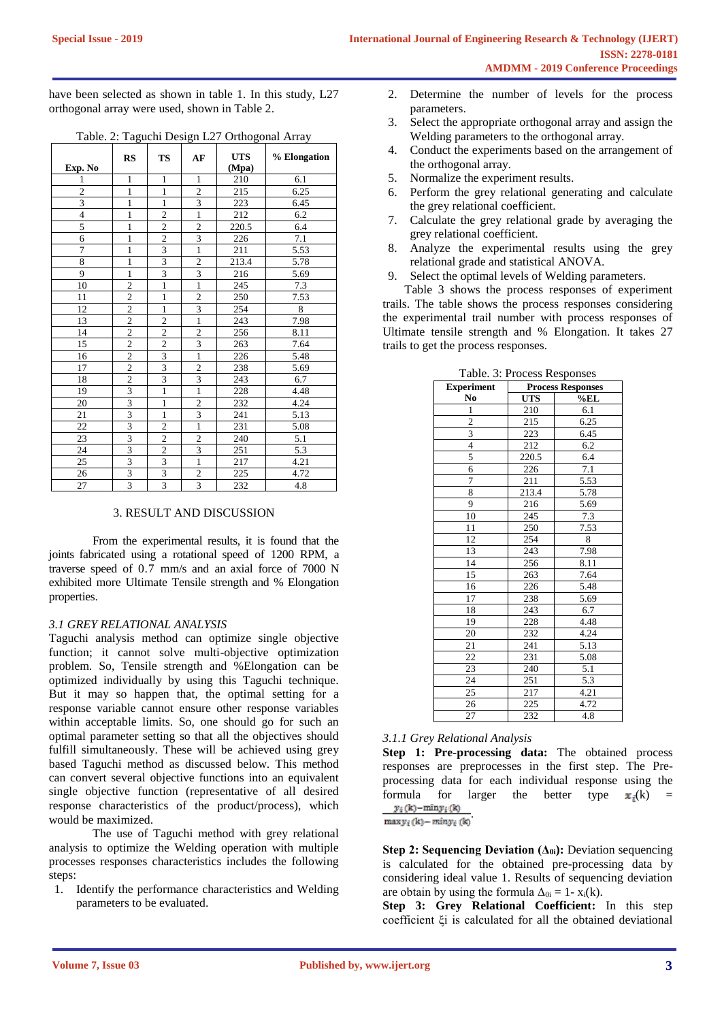have been selected as shown in table 1. In this study, L27 orthogonal array were used, shown in Table 2.

|                         | $  -$                   |                         | . ב-ס                   | . .                 | $\cdots$       |
|-------------------------|-------------------------|-------------------------|-------------------------|---------------------|----------------|
| Exp. No                 | <b>RS</b>               | <b>TS</b>               | AF                      | <b>UTS</b><br>(Mpa) | % Elongation   |
| 1                       | $\mathbf{1}$            | 1                       | 1                       | 210                 | 6.1            |
|                         | $\overline{1}$          | $\overline{1}$          | $\overline{2}$          | $\overline{215}$    | 6.25           |
| $rac{2}{3}$             | $\mathbf{1}$            | $\mathbf{1}$            | $\overline{3}$          | 223                 | 6.45           |
| $\overline{\mathbf{4}}$ | $\mathbf{1}$            | $\overline{c}$          | $\mathbf{1}$            | 212                 | 6.2            |
| 5                       | $\mathbf{1}$            | $\overline{2}$          | $\overline{2}$          | 220.5               | 6.4            |
| 6                       | $\mathbf{1}$            | $\overline{2}$          | $\overline{\mathbf{3}}$ | 226                 | 7.1            |
| $\overline{7}$          | $\mathbf{1}$            | $\overline{\mathbf{3}}$ | $\mathbf{1}$            | 211                 | 5.53           |
| $\sqrt{8}$              | $\mathbf{1}$            | $\overline{3}$          | $\overline{2}$          | 213.4               | 5.78           |
| 9                       | 1                       | $\overline{3}$          | $\overline{3}$          | 216                 | 5.69           |
| 10                      | $\overline{2}$          | $\mathbf{1}$            | $\mathbf{1}$            | 245                 | $7.3\,$        |
| 11                      | $\overline{2}$          | $\mathbf{1}$            | $\overline{c}$          | 250                 | 7.53           |
| 12                      | $\overline{c}$          | $\mathbf{1}$            | 3                       | 254                 | $\overline{8}$ |
| 13                      | $\overline{2}$          | $\overline{c}$          | $\mathbf{1}$            | 243                 | 7.98           |
| 14                      | $\overline{2}$          | $\overline{2}$          | $\overline{2}$          | 256                 | 8.11           |
| 15                      | $\overline{c}$          | $\overline{c}$          | 3                       | 263                 | 7.64           |
| 16                      | $\overline{2}$          | $\overline{3}$          | $\mathbf{1}$            | 226                 | 5.48           |
| 17                      | $\overline{2}$          | $\overline{3}$          | $\overline{2}$          | 238                 | 5.69           |
| 18                      | $\overline{2}$          | $\overline{3}$          | $\overline{3}$          | 243                 | 6.7            |
| 19                      | $\overline{3}$          | $\mathbf{1}$            | $\mathbf{1}$            | 228                 | 4.48           |
| 20                      | $\overline{\mathbf{3}}$ | $\mathbf{1}$            | $\overline{\mathbf{c}}$ | 232                 | 4.24           |
| 21                      | $\overline{3}$          | $\mathbf{1}$            | $\overline{3}$          | 241                 | 5.13           |
| 22                      | $\overline{\mathbf{3}}$ | $\overline{c}$          | $\mathbf{1}$            | 231                 | 5.08           |
| 23                      | 3                       | $\overline{c}$          | $\overline{c}$          | 240                 | 5.1            |
| 24                      | $\overline{\mathbf{3}}$ | $\overline{2}$          | $\overline{\mathbf{3}}$ | 251                 | 5.3            |
| 25                      | $\overline{\mathbf{3}}$ | $\overline{\mathbf{3}}$ | $\mathbf{1}$            | 217                 | 4.21           |
| 26                      | $rac{3}{3}$             | $rac{3}{3}$             | $rac{2}{3}$             | 225                 | 4.72           |
| $\overline{27}$         |                         |                         |                         | 232                 | 4.8            |

Table. 2: Taguchi Design L27 Orthogonal Array

# 3. RESULT AND DISCUSSION

From the experimental results, it is found that the joints fabricated using a rotational speed of 1200 RPM, a traverse speed of 0.7 mm/s and an axial force of 7000 N exhibited more Ultimate Tensile strength and % Elongation properties.

#### *3.1 GREY RELATIONAL ANALYSIS*

Taguchi analysis method can optimize single objective function; it cannot solve multi-objective optimization problem. So, Tensile strength and %Elongation can be optimized individually by using this Taguchi technique. But it may so happen that, the optimal setting for a response variable cannot ensure other response variables within acceptable limits. So, one should go for such an optimal parameter setting so that all the objectives should fulfill simultaneously. These will be achieved using grey based Taguchi method as discussed below. This method can convert several objective functions into an equivalent single objective function (representative of all desired response characteristics of the product/process), which would be maximized.

The use of Taguchi method with grey relational analysis to optimize the Welding operation with multiple processes responses characteristics includes the following steps:

1. Identify the performance characteristics and Welding parameters to be evaluated.

- 2. Determine the number of levels for the process parameters.
- 3. Select the appropriate orthogonal array and assign the Welding parameters to the orthogonal array.
- 4. Conduct the experiments based on the arrangement of the orthogonal array.
- 5. Normalize the experiment results.
- 6. Perform the grey relational generating and calculate the grey relational coefficient.
- 7. Calculate the grey relational grade by averaging the grey relational coefficient.
- 8. Analyze the experimental results using the grey relational grade and statistical ANOVA.
- 9. Select the optimal levels of Welding parameters.

Table 3 shows the process responses of experiment trails. The table shows the process responses considering the experimental trail number with process responses of Ultimate tensile strength and % Elongation. It takes 27 trails to get the process responses.

| <b>Experiment</b>       | <b>Process Responses</b> |      |  |
|-------------------------|--------------------------|------|--|
| No                      | <b>UTS</b>               | %EL  |  |
| 1                       | 210                      | 6.1  |  |
| $\overline{c}$          | 215                      | 6.25 |  |
| 3                       | 223                      | 6.45 |  |
| $\overline{\mathbf{4}}$ | 212                      | 6.2  |  |
| 5                       | 220.5                    | 6.4  |  |
| 6                       | 226                      | 7.1  |  |
| 7                       | 211                      | 5.53 |  |
| 8                       | 213.4                    | 5.78 |  |
| 9                       | 216                      | 5.69 |  |
| 10                      | 245                      | 7.3  |  |
| 11                      | 250                      | 7.53 |  |
| 12                      | 254                      | 8    |  |
| 13                      | 243                      | 7.98 |  |
| 14                      | 256                      | 8.11 |  |
| $\overline{15}$         | 263                      | 7.64 |  |
| 16                      | 226                      | 5.48 |  |
| 17                      | 238                      | 5.69 |  |
| 18                      | 243                      | 6.7  |  |
| 19                      | 228                      | 4.48 |  |
| 20                      | 232                      | 4.24 |  |
| 21                      | 241                      | 5.13 |  |
| 22                      | 231                      | 5.08 |  |
| 23                      | 240                      | 5.1  |  |
| 24                      | 251                      | 5.3  |  |
| 25                      | 217                      | 4.21 |  |
| 26                      | 225                      | 4.72 |  |
| 27                      | 232                      | 4.8  |  |

# Table. 3: Process Responses

## *3.1.1 Grey Relational Analysis*

**Step 1: Pre-processing data:** The obtained process responses are preprocesses in the first step. The Preprocessing data for each individual response using the formula for larger the better type  $\mathbf{x}_i(k)$  =  $y_i(k)$ -min $y_i(k)$ 

 $max y_i(k) - min y_i(k)$ 

**Step 2: Sequencing Deviation (Δ0i):** Deviation sequencing is calculated for the obtained pre-processing data by considering ideal value 1. Results of sequencing deviation are obtain by using the formula  $\Delta_{0i} = 1 - x_i(k)$ .

**Step 3: Grey Relational Coefficient:** In this step coefficient ξi is calculated for all the obtained deviational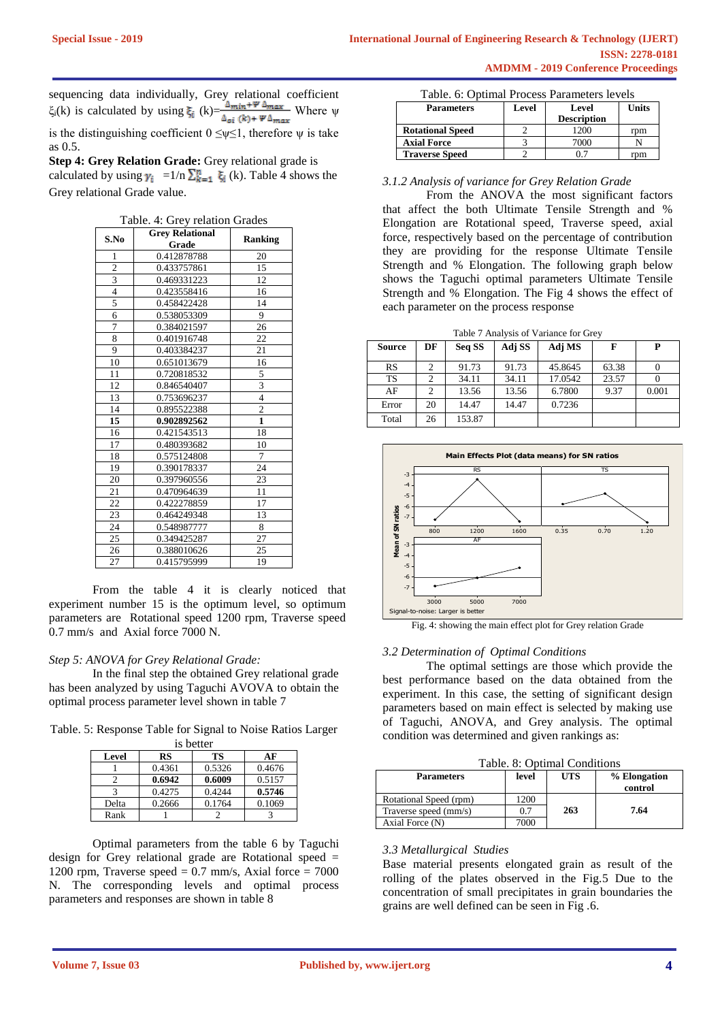sequencing data individually, Grey relational coefficient ξ<sub>i</sub>(k) is calculated by using  $\xi_i$  (k) =  $\frac{Q_{min} + P_{max}}{A_{min} + P_{max}}$  Where  $\psi$  $\xi_i(k)$  is calculated by using  $\xi_i$  (k)= $\frac{\Delta_{min} + \Psi \Delta_{max}}{\Delta_{oi}(k) + \Psi \Delta_{max}}$  Where ψ is the distinguishing coefficient  $0 \le \psi \le 1$ , therefore ψ is take

as 0.5. **Step 4: Grey Relation Grade:** Grey relational grade is calculated by using  $\gamma_i =1/n \sum_{k=1}^n \xi_i$  (k). Table 4 shows the Grey relational Grade value.

| S.No                    | <b>Grey Relational</b> | <b>Ranking</b>          |
|-------------------------|------------------------|-------------------------|
|                         | Grade                  |                         |
| 1                       | 0.412878788            | 20                      |
| $\overline{c}$          | 0.433757861            | 15                      |
| $\overline{\mathbf{3}}$ | 0.469331223            | 12                      |
| $\overline{4}$          | 0.423558416            | 16                      |
| 5                       | 0.458422428            | 14                      |
| 6                       | 0.538053309            | 9                       |
| 7                       | 0.384021597            | 26                      |
| 8                       | 0.401916748            | 22                      |
| 9                       | 0.403384237            | 21                      |
| 10                      | 0.651013679            | 16                      |
| 11                      | 0.720818532            | 5                       |
| 12                      | 0.846540407            | $\overline{\mathbf{3}}$ |
| 13                      | 0.753696237            | 4                       |
| 14                      | 0.895522388            | $\overline{c}$          |
| 15                      | 0.902892562            | $\mathbf{1}$            |
| 16                      | 0.421543513            | 18                      |
| 17                      | 0.480393682            | 10                      |
| 18                      | 0.575124808            | 7                       |
| 19                      | 0.390178337            | 24                      |
| 20                      | 0.397960556            | 23                      |
| 21                      | 0.470964639            | 11                      |
| 22                      | 0.422278859            | 17                      |
| 23                      | 0.464249348            | 13                      |
| 24                      | 0.548987777            | 8                       |
| 25                      | 0.349425287            | 27                      |
| 26                      | 0.388010626            | 25                      |
| 27                      | 0.415795999            | 19                      |

Table. 4: Grey relation Grades

From the table 4 it is clearly noticed that experiment number 15 is the optimum level, so optimum parameters are Rotational speed 1200 rpm, Traverse speed 0.7 mm/s and Axial force 7000 N.

#### *Step 5: ANOVA for Grey Relational Grade:*

In the final step the obtained Grey relational grade has been analyzed by using Taguchi AVOVA to obtain the optimal process parameter level shown in table 7

Table. 5: Response Table for Signal to Noise Ratios Larger

| is better |        |        |        |  |  |  |
|-----------|--------|--------|--------|--|--|--|
| Level     | RS     | TS     | AF     |  |  |  |
|           | 0.4361 | 0.5326 | 0.4676 |  |  |  |
|           | 0.6942 | 0.6009 | 0.5157 |  |  |  |
|           | 0.4275 | 0.4244 | 0.5746 |  |  |  |
| Delta     | 0.2666 | 0.1764 | 0.1069 |  |  |  |
| Rank      |        |        |        |  |  |  |

Optimal parameters from the table 6 by Taguchi design for Grey relational grade are Rotational speed = 1200 rpm, Traverse speed  $= 0.7$  mm/s, Axial force  $= 7000$ N. The corresponding levels and optimal process parameters and responses are shown in table 8

|  | Table. 6: Optimal Process Parameters levels |
|--|---------------------------------------------|
|--|---------------------------------------------|

| <b>Parameters</b>       | Level | Level<br><b>Description</b> | Units |
|-------------------------|-------|-----------------------------|-------|
| <b>Rotational Speed</b> |       | 1200                        | rom   |
| <b>Axial Force</b>      |       | 7000                        |       |
| <b>Traverse Speed</b>   |       |                             | rom   |

#### *3.1.2 Analysis of variance for Grey Relation Grade*

From the ANOVA the most significant factors that affect the both Ultimate Tensile Strength and % Elongation are Rotational speed, Traverse speed, axial force, respectively based on the percentage of contribution they are providing for the response Ultimate Tensile Strength and % Elongation. The following graph below shows the Taguchi optimal parameters Ultimate Tensile Strength and % Elongation. The Fig 4 shows the effect of each parameter on the process response

Table 7 Analysis of Variance for Grey

| Source    | DF | Seq SS | Adj SS | Adj MS  | F     | P     |
|-----------|----|--------|--------|---------|-------|-------|
| RS        |    | 91.73  | 91.73  | 45.8645 | 63.38 |       |
| <b>TS</b> |    | 34.11  | 34.11  | 17.0542 | 23.57 |       |
| AF        |    | 13.56  | 13.56  | 6.7800  | 9.37  | 0.001 |
| Error     | 20 | 14.47  | 14.47  | 0.7236  |       |       |
| Total     | 26 | 153.87 |        |         |       |       |



Fig. 4: showing the main effect plot for Grey relation Grade

#### *3.2 Determination of Optimal Conditions*

The optimal settings are those which provide the best performance based on the data obtained from the experiment. In this case, the setting of significant design parameters based on main effect is selected by making use of Taguchi, ANOVA, and Grey analysis. The optimal condition was determined and given rankings as:

Table. 8: Optimal Conditions

| <b>Parameters</b>      | level | <b>UTS</b> | % Elongation<br>control |
|------------------------|-------|------------|-------------------------|
| Rotational Speed (rpm) | 1200  |            |                         |
| Traverse speed (mm/s)  | 0.7   | 263        | 7.64                    |
| Axial Force (N)        | 7000  |            |                         |

#### *3.3 Metallurgical Studies*

Base material presents elongated grain as result of the rolling of the plates observed in the Fig.5 Due to the concentration of small precipitates in grain boundaries the grains are well defined can be seen in Fig .6.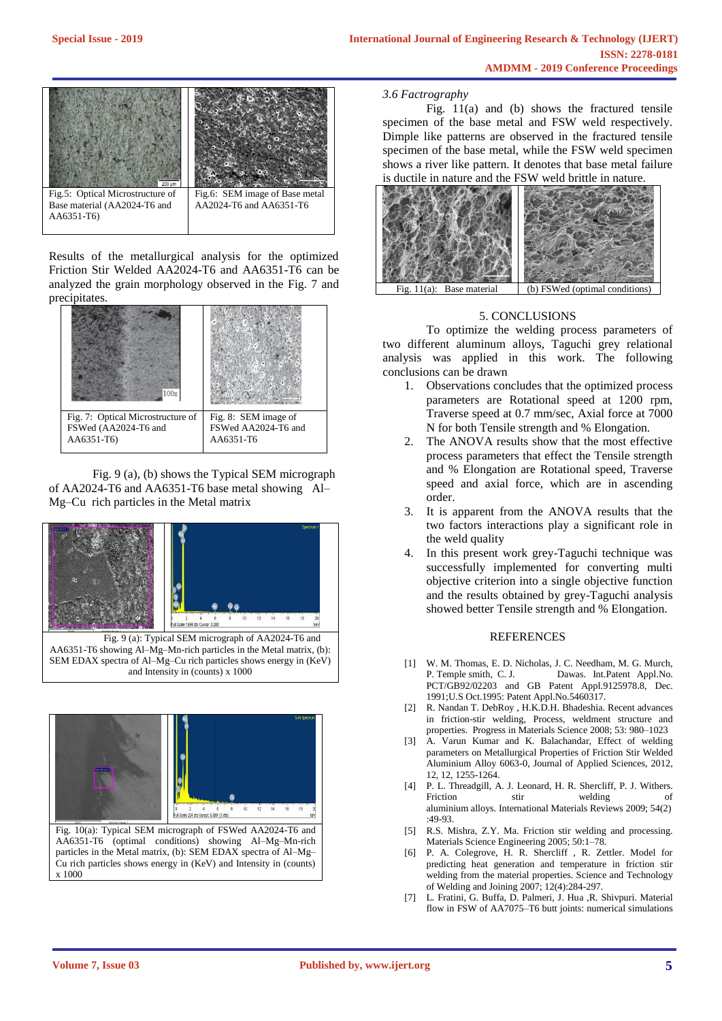

Results of the metallurgical analysis for the optimized Friction Stir Welded AA2024-T6 and AA6351-T6 can be analyzed the grain morphology observed in the Fig. 7 and precipitates.



Fig. 9 (a), (b) shows the Typical SEM micrograph of AA2024-T6 and AA6351-T6 base metal showing Al– Mg–Cu rich particles in the Metal matrix



Fig. 9 (a): Typical SEM micrograph of AA2024-T6 and AA6351-T6 showing Al–Mg–Mn-rich particles in the Metal matrix, (b): SEM EDAX spectra of Al–Mg–Cu rich particles shows energy in (KeV) and Intensity in (counts) x 1000



AA6351-T6 (optimal conditions) showing Al–Mg–Mn-rich particles in the Metal matrix, (b): SEM EDAX spectra of Al–Mg– Cu rich particles shows energy in (KeV) and Intensity in (counts) x 1000

#### *3.6 Factrography*

Fig. 11(a) and (b) shows the fractured tensile specimen of the base metal and FSW weld respectively. Dimple like patterns are observed in the fractured tensile specimen of the base metal, while the FSW weld specimen shows a river like pattern. It denotes that base metal failure is ductile in nature and the FSW weld brittle in nature



 $-11(a)$ : Base material (b) FSWed (optimal conditions)

#### 5. CONCLUSIONS

To optimize the welding process parameters of two different aluminum alloys, Taguchi grey relational analysis was applied in this work. The following conclusions can be drawn

- 1. Observations concludes that the optimized process parameters are Rotational speed at 1200 rpm, Traverse speed at 0.7 mm/sec, Axial force at 7000 N for both Tensile strength and % Elongation.
- 2. The ANOVA results show that the most effective process parameters that effect the Tensile strength and % Elongation are Rotational speed, Traverse speed and axial force, which are in ascending order.
- 3. It is apparent from the ANOVA results that the two factors interactions play a significant role in the weld quality
- 4. In this present work grey-Taguchi technique was successfully implemented for converting multi objective criterion into a single objective function and the results obtained by grey-Taguchi analysis showed better Tensile strength and % Elongation.

#### **REFERENCES**

- [1] W. M. Thomas, E. D. Nicholas, J. C. Needham, M. G. Murch, Dawas. Int.Patent Appl.No. PCT/GB92/02203 and GB Patent Appl.9125978.8, Dec. 1991;U.S Oct.1995: Patent Appl.No.5460317.
- [2] R. Nandan T. DebRoy , H.K.D.H. Bhadeshia. Recent advances in friction-stir welding, Process, weldment structure and properties. Progress in Materials Science 2008; 53: 980–1023
- [3] A. Varun Kumar and K. Balachandar, Effect of welding parameters on Metallurgical Properties of Friction Stir Welded Aluminium Alloy 6063-0, Journal of Applied Sciences, 2012, 12, 12, 1255-1264.
- [4] P. L. Threadgill, A. J. Leonard, H. R. Shercliff, P. J. Withers. Friction stir welding of aluminium alloys. International Materials Reviews 2009; 54(2) :49-93.
- [5] R.S. Mishra, Z.Y. Ma. Friction stir welding and processing. Materials Science Engineering 2005; 50:1–78.
- [6] P. A. Colegrove, H. R. Shercliff , R. Zettler. Model for predicting heat generation and temperature in friction stir welding from the material properties. Science and Technology of Welding and Joining 2007; 12(4):284-297.
- [7] L. Fratini, G. Buffa, D. Palmeri, J. Hua ,R. Shivpuri. Material flow in FSW of AA7075–T6 butt joints: numerical simulations